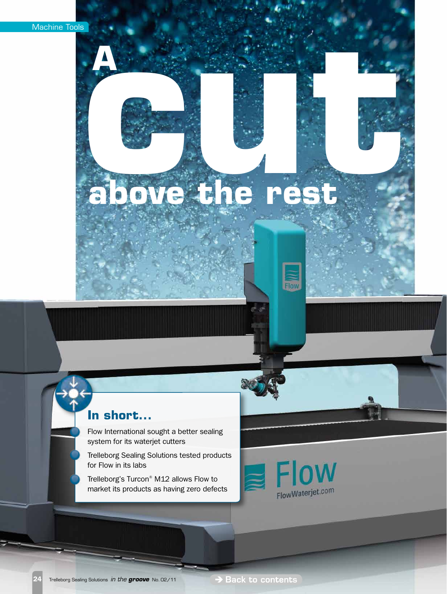**A**

# **above the rest**

### **In short...**

Flow International sought a better sealing system for its waterjet cutters

Trelleborg Sealing Solutions tested products for Flow in its labs

Trelleborg's Turcon® M12 allows Flow to market its products as having zero defects



Flow

24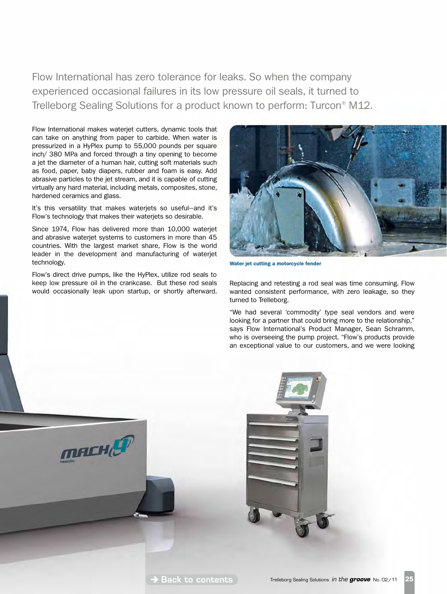experienced occasional failures in its low pressure oil seals, it turned to Trelleborg Sealing Solutions for a product known to perform: Turcon® M12.

Flow International makes waterjet cutters, dynamic tools that can take on anything from paper to carbide. When water is pressurized in a HyPlex pump to 55,000 pounds per square inch/ 380 MPa and forced through a tiny opening to become a jet the diameter of a human hair, cutting soft materials such as food, paper, baby diapers, rubber and foam is easy. Add abrasive particles to the jet stream, and it is capable of cutting virtually any hard material, including metals, composites, stone, hardened ceramics and glass. Flow International has zero tolerance for leaks. So when the company<br>experienced occasional failures in its low pressure oil seals, it turned to<br>Trelleborg Sealing Solutions for a product known to perform: Turcon<sup>®</sup> N<br>Flow

It's this versatility that makes waterjets so useful—and it's Flow's technology that makes their waterjets so desirable.

Since 1974, Flow has delivered more than 10,000 waterjet and abrasive waterjet systems to customers in more than 45 countries. With the largest market share, Flow is the world leader in the development and manufacturing of waterjet technology.

Flow's direct drive pumps, like the HyPlex, utilize rod seals to keep low pressure oil in the crankcase. But these rod seals would occasionally leak upon startup, or shortly afterward.

mACHE



Water jet cutting a motorcycle fender

Replacing and retesting a rod seal was time consuming. Flow wanted consistent performance, with zero leakage, so they turned to Trelleborg.

"We had several 'commodity' type seal vendors and were looking for a partner that could bring more to the relationship," says Flow International's Product Manager, Sean Schramm, who is overseeing the pump project. "Flow's products provide an exceptional value to our customers, and we were looking

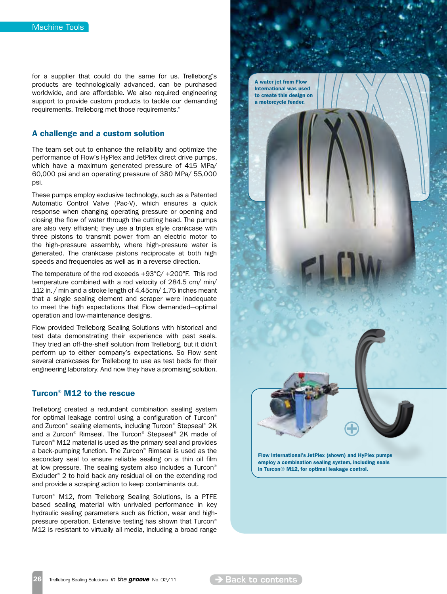for a supplier that could do the same for us. Trelleborg's products are technologically advanced, can be purchased worldwide, and are affordable. We also required engineering support to provide custom products to tackle our demanding requirements. Trelleborg met those requirements."

### A challenge and a custom solution

The team set out to enhance the reliability and optimize the performance of Flow's HyPlex and JetPlex direct drive pumps, which have a maximum generated pressure of 415 MPa/ 60,000 psi and an operating pressure of 380 MPa/ 55,000 psi.

These pumps employ exclusive technology, such as a Patented Automatic Control Valve (Pac-V), which ensures a quick response when changing operating pressure or opening and closing the flow of water through the cutting head. The pumps are also very efficient; they use a triplex style crankcase with three pistons to transmit power from an electric motor to the high-pressure assembly, where high-pressure water is generated. The crankcase pistons reciprocate at both high speeds and frequencies as well as in a reverse direction.

The temperature of the rod exceeds +93°C/ +200°F. This rod temperature combined with a rod velocity of 284.5 cm/ min/ 112 in. / min and a stroke length of 4.45cm/ 1.75 inches meant that a single sealing element and scraper were inadequate to meet the high expectations that Flow demanded—optimal operation and low-maintenance designs.

Flow provided Trelleborg Sealing Solutions with historical and test data demonstrating their experience with past seals. They tried an off-the-shelf solution from Trelleborg, but it didn't perform up to either company's expectations. So Flow sent several crankcases for Trelleborg to use as test beds for their engineering laboratory. And now they have a promising solution.

### Turcon® M12 to the rescue

Trelleborg created a redundant combination sealing system for optimal leakage control using a configuration of Turcon® and Zurcon® sealing elements, including Turcon® Stepseal® 2K and a Zurcon® Rimseal. The Turcon® Stepseal® 2K made of Turcon® M12 material is used as the primary seal and provides a back-pumping function. The Zurcon® Rimseal is used as the secondary seal to ensure reliable sealing on a thin oil film at low pressure. The sealing system also includes a Turcon® Excluder® 2 to hold back any residual oil on the extending rod and provide a scraping action to keep contaminants out.

Turcon® M12, from Trelleborg Sealing Solutions, is a PTFE based sealing material with unrivaled performance in key hydraulic sealing parameters such as friction, wear and highpressure operation. Extensive testing has shown that Turcon® M12 is resistant to virtually all media, including a broad range



26 Trelleborg Sealing Solutions *in the groove* No. 02/11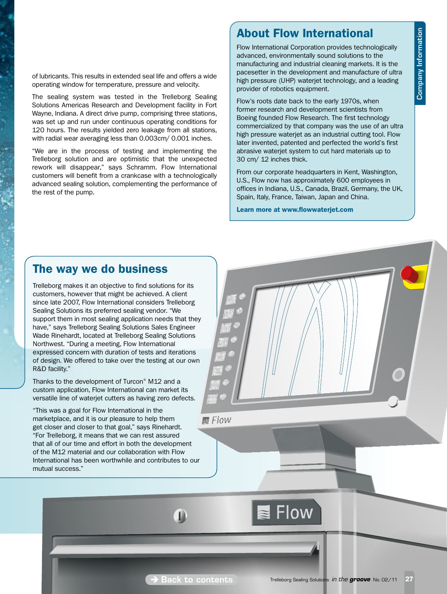of lubricants. This results in extended seal life and offers a wide operating window for temperature, pressure and velocity.

The sealing system was tested in the Trelleborg Sealing Solutions Americas Research and Development facility in Fort Wayne, Indiana. A direct drive pump, comprising three stations, was set up and run under continuous operating conditions for 120 hours. The results yielded zero leakage from all stations, with radial wear averaging less than 0.003cm/ 0.001 inches.

"We are in the process of testing and implementing the Trelleborg solution and are optimistic that the unexpected rework will disappear," says Schramm. Flow International customers will benefit from a crankcase with a technologically advanced sealing solution, complementing the performance of the rest of the pump.

# About Flow International

Flow International Corporation provides technologically advanced, environmentally sound solutions to the manufacturing and industrial cleaning markets. It is the pacesetter in the development and manufacture of ultra high pressure (UHP) waterjet technology, and a leading provider of robotics equipment.

Flow's roots date back to the early 1970s, when former research and development scientists from Boeing founded Flow Research. The first technology commercialized by that company was the use of an ultra high pressure waterjet as an industrial cutting tool. Flow later invented, patented and perfected the world's first abrasive waterjet system to cut hard materials up to 30 cm/ 12 inches thick.

From our corporate headquarters in Kent, Washington, U.S., Flow now has approximately 600 employees in offices in Indiana, U.S., Canada, Brazil, Germany, the UK, Spain, Italy, France, Taiwan, Japan and China.

Learn more at www.flowwaterjet.com

## The way we do business

Trelleborg makes it an objective to find solutions for its customers, however that might be achieved. A client since late 2007, Flow International considers Trelleborg Sealing Solutions its preferred sealing vendor. "We support them in most sealing application needs that they have," says Trelleborg Sealing Solutions Sales Engineer Wade Rinehardt, located at Trelleborg Sealing Solutions Northwest. "During a meeting, Flow International expressed concern with duration of tests and iterations of design. We offered to take over the testing at our own R&D facility."

Thanks to the development of Turcon® M12 and a custom application, Flow International can market its versatile line of waterjet cutters as having zero defects.

"This was a goal for Flow International in the marketplace, and it is our pleasure to help them get closer and closer to that goal," says Rinehardt. "For Trelleborg, it means that we can rest assured that all of our time and effort in both the development of the M12 material and our collaboration with Flow International has been worthwhile and contributes to our mutual success."



T